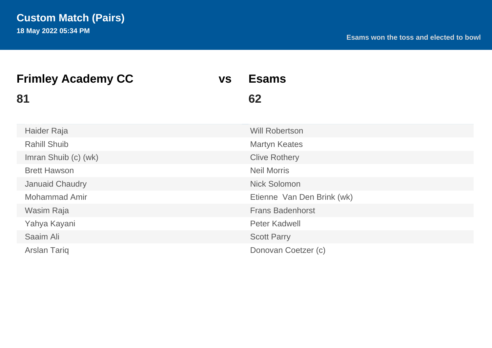| <b>Frimley Academy CC</b> | <b>VS</b> | <b>Esams</b>               |  |
|---------------------------|-----------|----------------------------|--|
| 81                        |           | 62                         |  |
| Haider Raja               |           | <b>Will Robertson</b>      |  |
| <b>Rahill Shuib</b>       |           | <b>Martyn Keates</b>       |  |
| Imran Shuib (c) (wk)      |           | <b>Clive Rothery</b>       |  |
| <b>Brett Hawson</b>       |           | <b>Neil Morris</b>         |  |
| <b>Januaid Chaudry</b>    |           | <b>Nick Solomon</b>        |  |
| <b>Mohammad Amir</b>      |           | Etienne Van Den Brink (wk) |  |
| Wasim Raja                |           | <b>Frans Badenhorst</b>    |  |
| Yahya Kayani              |           | <b>Peter Kadwell</b>       |  |
| Saaim Ali                 |           | <b>Scott Parry</b>         |  |
| <b>Arslan Tariq</b>       |           | Donovan Coetzer (c)        |  |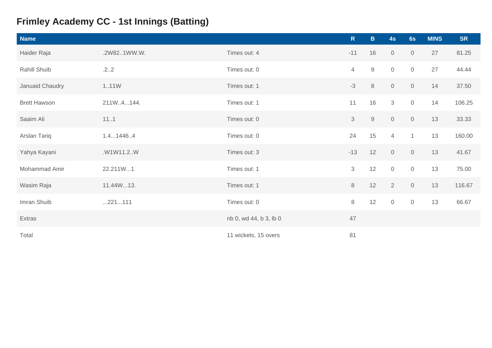# **Frimley Academy CC - 1st Innings (Batting)**

| <b>Name</b>         |             |                        | $\mathsf{R}$   | $\mathbf{B}$ | 4s             | 6s                  | <b>MINS</b> | <b>SR</b> |
|---------------------|-------------|------------------------|----------------|--------------|----------------|---------------------|-------------|-----------|
| Haider Raja         | .2W821WW.W. | Times out: 4           | $-11$          | 16           | $\overline{0}$ | $\overline{0}$      | 27          | 81.25     |
| Rahill Shuib        | .22         | Times out: 0           | $\overline{4}$ | $\mathsf 9$  | $\mathbf 0$    | $\mathsf{O}\xspace$ | 27          | 44.44     |
| Januaid Chaudry     | 1.11W       | Times out: 1           | $-3$           | $\,8\,$      | $\mathsf{O}$   | $\mathsf{O}\xspace$ | 14          | 37.50     |
| <b>Brett Hawson</b> | 211W.4144.  | Times out: 1           | 11             | 16           | $\mathcal{S}$  | $\mathsf O$         | 14          | 106.25    |
| Saaim Ali           | 111         | Times out: 0           | 3              | $\mathsf{9}$ | $\mathsf{O}$   | $\mathsf O$         | 13          | 33.33     |
| Arslan Tariq        | 1.414464    | Times out: 0           | 24             | 15           | $\overline{4}$ | $\mathbf{1}$        | 13          | 160.00    |
| Yahya Kayani        | .W1W11.2W   | Times out: 3           | $-13$          | 12           | $\overline{0}$ | $\mathsf O$         | 13          | 41.67     |
| Mohammad Amir       | 22.211W1    | Times out: 1           | 3              | 12           | $\mathbf 0$    | $\mathbf 0$         | 13          | 75.00     |
| Wasim Raja          | 11.44W13.   | Times out: 1           | $\,8\,$        | 12           | 2              | $\mathsf{O}\xspace$ | 13          | 116.67    |
| Imran Shuib         | 221111      | Times out: 0           | $8\,$          | 12           | $\overline{0}$ | $\mathsf{O}\xspace$ | 13          | 66.67     |
| Extras              |             | nb 0, wd 44, b 3, lb 0 | 47             |              |                |                     |             |           |
| Total               |             | 11 wickets, 15 overs   | 81             |              |                |                     |             |           |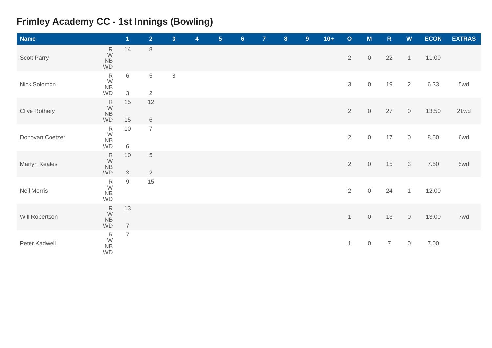# **Frimley Academy CC - 1st Innings (Bowling)**

| <b>Name</b>          |                                                       | $\mathbf{1}$         | $\overline{2}$                | 3 <sup>1</sup> | 4 | 5 <sub>5</sub> | $6\phantom{1}$ | $\overline{7}$ | $\boldsymbol{8}$ | 9 <sup>°</sup> | $10+$ | $\mathbf{o}$   | $\mathsf{M}$        | ${\sf R}$      | $\boldsymbol{\mathsf{W}}$ | <b>ECON</b> | <b>EXTRAS</b> |
|----------------------|-------------------------------------------------------|----------------------|-------------------------------|----------------|---|----------------|----------------|----------------|------------------|----------------|-------|----------------|---------------------|----------------|---------------------------|-------------|---------------|
| Scott Parry          | ${\sf R}$<br>W<br><b>NB</b><br><b>WD</b>              | 14                   | $\,8\,$                       |                |   |                |                |                |                  |                |       | $\overline{2}$ | $\mathbf 0$         | 22             | $\mathbf{1}$              | 11.00       |               |
| Nick Solomon         | ${\sf R}$<br>$\frac{W}{NB}$<br><b>WD</b>              | 6<br>3               | $\,$ 5 $\,$<br>$\overline{2}$ | $\,8\,$        |   |                |                |                |                  |                |       | 3              | $\mathsf{O}\xspace$ | 19             | 2                         | 6.33        | 5wd           |
| <b>Clive Rothery</b> | ${\sf R}$<br>${\sf W}$<br>${\sf NB}$<br>WD            | 15<br>15             | 12<br>$\,6\,$                 |                |   |                |                |                |                  |                |       | $\overline{2}$ | $\mathbf 0$         | 27             | $\mathbf 0$               | 13.50       | 21wd          |
| Donovan Coetzer      | ${\sf R}$<br>${\mathsf W}$<br>${\sf NB}$<br><b>WD</b> | 10<br>$\,6\,$        | $\overline{7}$                |                |   |                |                |                |                  |                |       | $\overline{2}$ | $\mathbf 0$         | 17             | $\mathbf 0$               | 8.50        | 6wd           |
| Martyn Keates        | ${\sf R}$<br>$\frac{W}{NB}$<br><b>WD</b>              | 10<br>$\mathfrak{S}$ | $\mathbf 5$<br>$\overline{2}$ |                |   |                |                |                |                  |                |       | $\overline{2}$ | $\mathbf 0$         | 15             | $\sqrt{3}$                | 7.50        | 5wd           |
| Neil Morris          | $\begin{array}{c} R \\ W \\ NB \end{array}$<br>WD     | $\mathsf g$          | 15                            |                |   |                |                |                |                  |                |       | $\overline{2}$ | $\mathsf{O}\xspace$ | 24             | $\mathbf{1}$              | 12.00       |               |
| Will Robertson       | ${\sf R}$<br>$\frac{W}{NB}$<br>WD                     | 13<br>$\overline{7}$ |                               |                |   |                |                |                |                  |                |       | $\mathbf{1}$   | $\mathsf{O}\xspace$ | 13             | $\,0\,$                   | 13.00       | 7wd           |
| Peter Kadwell        | ${\sf R}$<br>$\frac{W}{NB}$<br><b>WD</b>              | $\overline{7}$       |                               |                |   |                |                |                |                  |                |       | $\mathbf{1}$   | $\mathbf 0$         | $\overline{7}$ | $\mathbf 0$               | 7.00        |               |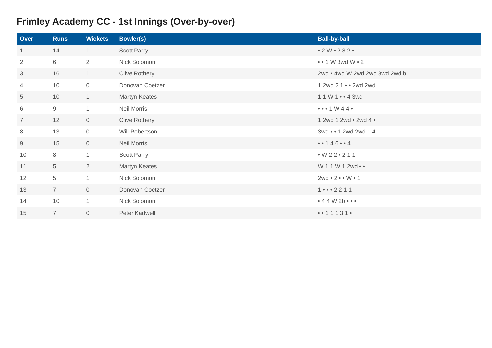# **Frimley Academy CC - 1st Innings (Over-by-over)**

| Over           | <b>Runs</b>    | <b>Wickets</b> | <b>Bowler(s)</b>     | <b>Ball-by-ball</b>                        |
|----------------|----------------|----------------|----------------------|--------------------------------------------|
| 1              | 14             | $\mathbf{1}$   | Scott Parry          | • 2 W • 282 •                              |
| $\overline{2}$ | 6              | $\overline{2}$ | Nick Solomon         | $\bullet \bullet$ 1 W 3wd W $\bullet$ 2    |
| 3              | 16             | $\mathbf{1}$   | <b>Clive Rothery</b> | 2wd . 4wd W 2wd 2wd 3wd 2wd b              |
| 4              | 10             | $\overline{0}$ | Donovan Coetzer      | 1 2wd 2 1 • • 2wd 2wd                      |
| 5              | 10             | $\mathbf{1}$   | Martyn Keates        | 11W143wd                                   |
| 6              | 9              | $\overline{1}$ | Neil Morris          | $\bullet \bullet \bullet$ 1 W 44 $\bullet$ |
| $\overline{7}$ | 12             | $\overline{0}$ | <b>Clive Rothery</b> | 1 2wd 1 2wd • 2wd 4 •                      |
| 8              | 13             | $\mathbf 0$    | Will Robertson       | 3wd • • 1 2wd 2wd 1 4                      |
| 9              | 15             | $\overline{0}$ | Neil Morris          | • • 1 4 6 • • 4                            |
| 10             | 8              | $\mathbf{1}$   | <b>Scott Parry</b>   | $W22 \cdot 211$                            |
| 11             | 5              | $\overline{2}$ | Martyn Keates        | W 1 1 W 1 2wd • •                          |
| 12             | 5              | $\overline{1}$ | Nick Solomon         | $2wd \cdot 2 \cdot \cdot W \cdot 1$        |
| 13             | $\overline{7}$ | $\overline{0}$ | Donovan Coetzer      | $1 \cdots 2211$                            |
| 14             | 10             | $\mathbf{1}$   | Nick Solomon         | $\bullet$ 4 4 W 2b $\bullet$ $\bullet$     |
| 15             | $\overline{7}$ | $\overline{0}$ | Peter Kadwell        | 1 1 1 3 1                                  |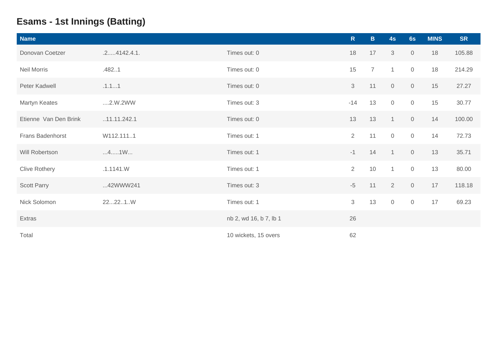# **Esams - 1st Innings (Batting)**

| <b>Name</b>           |                 |                        | $\mathsf{R}$   | $\mathbf{B}$   | 4s             | 6s                  | <b>MINS</b> | <b>SR</b> |
|-----------------------|-----------------|------------------------|----------------|----------------|----------------|---------------------|-------------|-----------|
| Donovan Coetzer       | $.2$ 4142.4.1.  | Times out: 0           | 18             | 17             | 3              | $\overline{0}$      | 18          | 105.88    |
| <b>Neil Morris</b>    | .4821           | Times out: 0           | 15             | $\overline{7}$ | $\mathbf 1$    | $\mathsf O$         | 18          | 214.29    |
| Peter Kadwell         | .1.11           | Times out: 0           | 3              | 11             | $\overline{0}$ | $\mathsf{O}\xspace$ | 15          | 27.27     |
| Martyn Keates         | $\dots$ 2.W.2WW | Times out: 3           | $-14$          | 13             | $\overline{0}$ | $\mathsf{O}\xspace$ | 15          | 30.77     |
| Etienne Van Den Brink | .11.11.242.1    | Times out: 0           | 13             | 13             |                | $\mathsf{O}\xspace$ | 14          | 100.00    |
| Frans Badenhorst      | W112.1111       | Times out: 1           | $\overline{2}$ | 11             | $\mathbf 0$    | $\mathsf{O}\xspace$ | 14          | 72.73     |
| Will Robertson        | 41W             | Times out: 1           | $-1$           | 14             | $\overline{1}$ | $\overline{0}$      | 13          | 35.71     |
| <b>Clive Rothery</b>  | .1.1141.W       | Times out: 1           | $\overline{2}$ | 10             | $\mathbf{1}$   | $\mathsf O$         | 13          | 80.00     |
| <b>Scott Parry</b>    | 42WWW241        | Times out: 3           | $-5$           | 11             | 2              | $\overline{0}$      | 17          | 118.18    |
| Nick Solomon          | 22221.W         | Times out: 1           | 3              | 13             | $\overline{0}$ | $\mathsf{O}\xspace$ | 17          | 69.23     |
| Extras                |                 | nb 2, wd 16, b 7, lb 1 | 26             |                |                |                     |             |           |
| Total                 |                 | 10 wickets, 15 overs   | 62             |                |                |                     |             |           |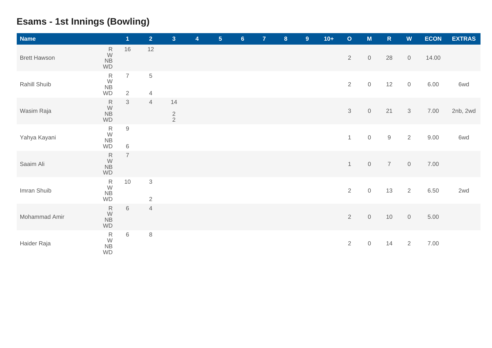## **Esams - 1st Innings (Bowling)**

| <b>Name</b>         |                                                   | $\overline{\mathbf{1}}$          | $\overline{2}$                | 3 <sup>1</sup>      | 4 | $5\phantom{.0}$ | $6\phantom{a}$ | $\overline{7}$ | $\boldsymbol{8}$ | 9 <sup>°</sup> | $10+$ | $\mathbf O$    | M                   | ${\sf R}$      | W              | <b>ECON</b> | <b>EXTRAS</b> |
|---------------------|---------------------------------------------------|----------------------------------|-------------------------------|---------------------|---|-----------------|----------------|----------------|------------------|----------------|-------|----------------|---------------------|----------------|----------------|-------------|---------------|
| <b>Brett Hawson</b> | ${\sf R}$<br>W<br>$N\overline{B}$<br>WD           | 16                               | 12                            |                     |   |                 |                |                |                  |                |       | $\overline{2}$ | $\mathsf O$         | 28             | $\mathbf 0$    | 14.00       |               |
| Rahill Shuib        | ${\sf R}$<br>W<br>NB<br>WD                        | $\overline{7}$<br>$\overline{2}$ | $\,$ 5 $\,$<br>$\overline{4}$ |                     |   |                 |                |                |                  |                |       | $\overline{2}$ | $\,0\,$             | 12             | $\mathbb O$    | 6.00        | 6wd           |
| Wasim Raja          | ${\sf R}$<br>${\mathsf W}$<br><b>NB</b><br>WD     | $\mathfrak{Z}$                   | $\overline{4}$                | 14<br>$\frac{2}{2}$ |   |                 |                |                |                  |                |       | $\mathfrak{S}$ | $\mathsf O$         | 21             | $\mathcal{S}$  | 7.00        | 2nb, 2wd      |
| Yahya Kayani        | ${\sf R}$<br>$\frac{W}{NB}$<br>WD                 | $\mathsf 9$<br>$\,6\,$           |                               |                     |   |                 |                |                |                  |                |       | $\mathbf{1}$   | $\mathsf{O}\xspace$ | $9\,$          | 2              | 9.00        | 6wd           |
| Saaim Ali           | ${\sf R}$<br>$\frac{W}{NB}$<br>WD                 | $\overline{7}$                   |                               |                     |   |                 |                |                |                  |                |       | $\mathbf{1}$   | $\mathsf O$         | $\overline{7}$ | $\mathbb O$    | 7.00        |               |
| Imran Shuib         | $\begin{array}{c} R \\ W \\ NB \end{array}$<br>WD | 10                               | $\sqrt{3}$<br>$\sqrt{2}$      |                     |   |                 |                |                |                  |                |       | $\overline{2}$ | $\mathsf{O}\xspace$ | 13             | 2              | 6.50        | 2wd           |
| Mohammad Amir       | ${\sf R}$<br>$\frac{W}{NB}$<br><b>WD</b>          | $\,$ 6 $\,$                      | $\overline{4}$                |                     |   |                 |                |                |                  |                |       | $\sqrt{2}$     | $\mathbf 0$         | $10$           | $\mathsf{O}$   | 5.00        |               |
| Haider Raja         | ${\sf R}$<br>$\frac{W}{NB}$<br>WD                 | $6\,$                            | $\,8\,$                       |                     |   |                 |                |                |                  |                |       | $\overline{2}$ | $\mathsf O$         | 14             | $\overline{2}$ | 7.00        |               |